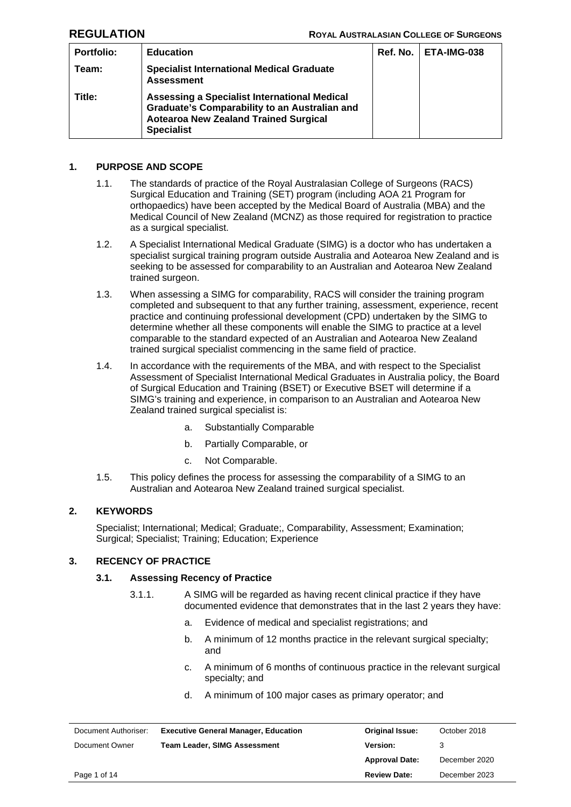| <b>Portfolio:</b> | <b>Education</b>                                                                                                                                                          | Ref. No.   ETA-IMG-038 |
|-------------------|---------------------------------------------------------------------------------------------------------------------------------------------------------------------------|------------------------|
| Team:             | <b>Specialist International Medical Graduate</b><br><b>Assessment</b>                                                                                                     |                        |
| Title:            | Assessing a Specialist International Medical<br><b>Graduate's Comparability to an Australian and</b><br><b>Aotearoa New Zealand Trained Surgical</b><br><b>Specialist</b> |                        |

# **1. PURPOSE AND SCOPE**

- 1.1. The standards of practice of the Royal Australasian College of Surgeons (RACS) Surgical Education and Training (SET) program (including AOA 21 Program for orthopaedics) have been accepted by the Medical Board of Australia (MBA) and the Medical Council of New Zealand (MCNZ) as those required for registration to practice as a surgical specialist.
- 1.2. A Specialist International Medical Graduate (SIMG) is a doctor who has undertaken a specialist surgical training program outside Australia and Aotearoa New Zealand and is seeking to be assessed for comparability to an Australian and Aotearoa New Zealand trained surgeon.
- 1.3. When assessing a SIMG for comparability, RACS will consider the training program completed and subsequent to that any further training, assessment, experience, recent practice and continuing professional development (CPD) undertaken by the SIMG to determine whether all these components will enable the SIMG to practice at a level comparable to the standard expected of an Australian and Aotearoa New Zealand trained surgical specialist commencing in the same field of practice.
- 1.4. In accordance with the requirements of the MBA, and with respect to the Specialist Assessment of Specialist International Medical Graduates in Australia policy, the Board of Surgical Education and Training (BSET) or Executive BSET will determine if a SIMG's training and experience, in comparison to an Australian and Aotearoa New Zealand trained surgical specialist is:
	- a. Substantially Comparable
	- b. Partially Comparable, or
	- c. Not Comparable.
- 1.5. This policy defines the process for assessing the comparability of a SIMG to an Australian and Aotearoa New Zealand trained surgical specialist.

# **2. KEYWORDS**

Specialist; International; Medical; Graduate;, Comparability, Assessment; Examination; Surgical; Specialist; Training; Education; Experience

### **3. RECENCY OF PRACTICE**

### **3.1. Assessing Recency of Practice**

- 3.1.1. A SIMG will be regarded as having recent clinical practice if they have documented evidence that demonstrates that in the last 2 years they have:
	- a. Evidence of medical and specialist registrations; and
	- b. A minimum of 12 months practice in the relevant surgical specialty; and
	- c. A minimum of 6 months of continuous practice in the relevant surgical specialty; and
	- d. A minimum of 100 major cases as primary operator; and

| Document Authoriser: | <b>Executive General Manager, Education</b> | <b>Original Issue:</b> | October 2018  |
|----------------------|---------------------------------------------|------------------------|---------------|
| Document Owner       | <b>Team Leader, SIMG Assessment</b>         | <b>Version:</b>        |               |
|                      |                                             | <b>Approval Date:</b>  | December 2020 |
| Page 1 of 14         |                                             | <b>Review Date:</b>    | December 2023 |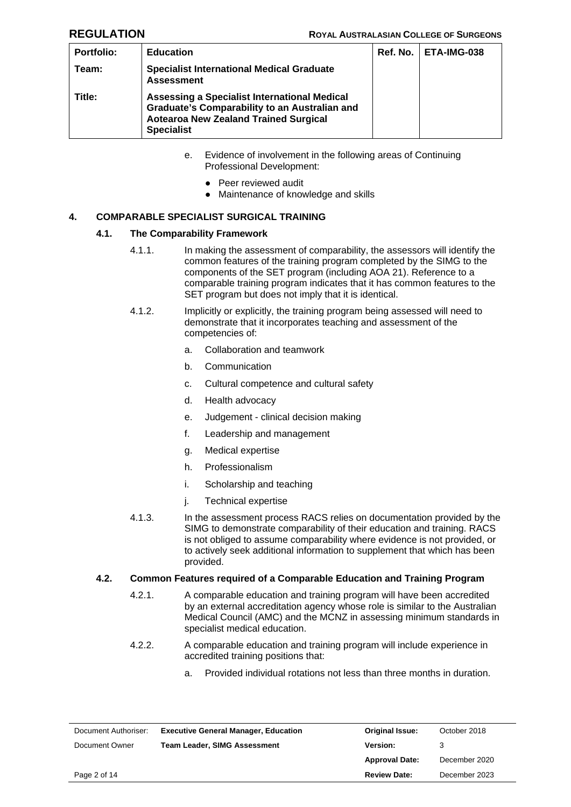| <b>Portfolio:</b> | <b>Education</b>                                                                                                                                                   | <b>Ref. No.   ETA-IMG-038</b> |
|-------------------|--------------------------------------------------------------------------------------------------------------------------------------------------------------------|-------------------------------|
| Team:             | <b>Specialist International Medical Graduate</b><br><b>Assessment</b>                                                                                              |                               |
| Title:            | Assessing a Specialist International Medical<br>Graduate's Comparability to an Australian and<br><b>Aotearoa New Zealand Trained Surgical</b><br><b>Specialist</b> |                               |

- e. Evidence of involvement in the following areas of Continuing Professional Development:
	- Peer reviewed audit
	- Maintenance of knowledge and skills

# **4. COMPARABLE SPECIALIST SURGICAL TRAINING**

# **4.1. The Comparability Framework**

- 4.1.1. In making the assessment of comparability, the assessors will identify the common features of the training program completed by the SIMG to the components of the SET program (including AOA 21). Reference to a comparable training program indicates that it has common features to the SET program but does not imply that it is identical.
- 4.1.2. Implicitly or explicitly, the training program being assessed will need to demonstrate that it incorporates teaching and assessment of the competencies of:
	- a. Collaboration and teamwork
	- b. Communication
	- c. Cultural competence and cultural safety
	- d. Health advocacy
	- e. Judgement clinical decision making
	- f. Leadership and management
	- g. Medical expertise
	- h. Professionalism
	- i. Scholarship and teaching
	- j. Technical expertise
- 4.1.3. In the assessment process RACS relies on documentation provided by the SIMG to demonstrate comparability of their education and training. RACS is not obliged to assume comparability where evidence is not provided, or to actively seek additional information to supplement that which has been provided.

# **4.2. Common Features required of a Comparable Education and Training Program**

- 4.2.1. A comparable education and training program will have been accredited by an external accreditation agency whose role is similar to the Australian Medical Council (AMC) and the MCNZ in assessing minimum standards in specialist medical education.
- 4.2.2. A comparable education and training program will include experience in accredited training positions that:
	- a. Provided individual rotations not less than three months in duration.

| Document Authoriser: | <b>Executive General Manager, Education</b> | <b>Original Issue:</b> | October 2018  |
|----------------------|---------------------------------------------|------------------------|---------------|
| Document Owner       | <b>Team Leader, SIMG Assessment</b>         | Version:               |               |
|                      |                                             | <b>Approval Date:</b>  | December 2020 |
| Page 2 of 14         |                                             | <b>Review Date:</b>    | December 2023 |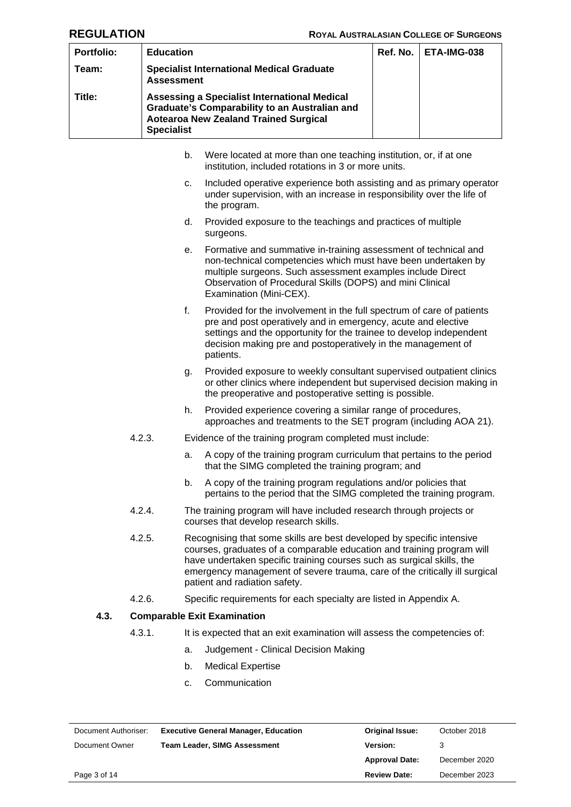| <b>Portfolio:</b> | <b>Education</b>                                                                                                                                                   | Ref. No. | <b>LETA-IMG-038</b> |
|-------------------|--------------------------------------------------------------------------------------------------------------------------------------------------------------------|----------|---------------------|
| Team:             | <b>Specialist International Medical Graduate</b><br><b>Assessment</b>                                                                                              |          |                     |
| Title:            | Assessing a Specialist International Medical<br>Graduate's Comparability to an Australian and<br><b>Aotearoa New Zealand Trained Surgical</b><br><b>Specialist</b> |          |                     |

- b. Were located at more than one teaching institution, or, if at one institution, included rotations in 3 or more units.
- c. Included operative experience both assisting and as primary operator under supervision, with an increase in responsibility over the life of the program.
- d. Provided exposure to the teachings and practices of multiple surgeons.
- e. Formative and summative in-training assessment of technical and non-technical competencies which must have been undertaken by multiple surgeons. Such assessment examples include Direct Observation of Procedural Skills (DOPS) and mini Clinical Examination (Mini-CEX).
- f. Provided for the involvement in the full spectrum of care of patients pre and post operatively and in emergency, acute and elective settings and the opportunity for the trainee to develop independent decision making pre and postoperatively in the management of patients.
- g. Provided exposure to weekly consultant supervised outpatient clinics or other clinics where independent but supervised decision making in the preoperative and postoperative setting is possible.
- h. Provided experience covering a similar range of procedures, approaches and treatments to the SET program (including AOA 21).
- 4.2.3. Evidence of the training program completed must include:
	- a. A copy of the training program curriculum that pertains to the period that the SIMG completed the training program; and
	- b. A copy of the training program regulations and/or policies that pertains to the period that the SIMG completed the training program.
- 4.2.4. The training program will have included research through projects or courses that develop research skills.
- 4.2.5. Recognising that some skills are best developed by specific intensive courses, graduates of a comparable education and training program will have undertaken specific training courses such as surgical skills, the emergency management of severe trauma, care of the critically ill surgical patient and radiation safety.
- 4.2.6. Specific requirements for each specialty are listed in Appendix A.

# **4.3. Comparable Exit Examination**

- 4.3.1. It is expected that an exit examination will assess the competencies of:
	- a. Judgement Clinical Decision Making
	- b. Medical Expertise
	- c. Communication

| Document Authoriser: | <b>Executive General Manager, Education</b> | <b>Original Issue:</b> | October 2018  |
|----------------------|---------------------------------------------|------------------------|---------------|
| Document Owner       | <b>Team Leader, SIMG Assessment</b>         | <b>Version:</b>        |               |
|                      |                                             | <b>Approval Date:</b>  | December 2020 |
| Page 3 of 14         |                                             | <b>Review Date:</b>    | December 2023 |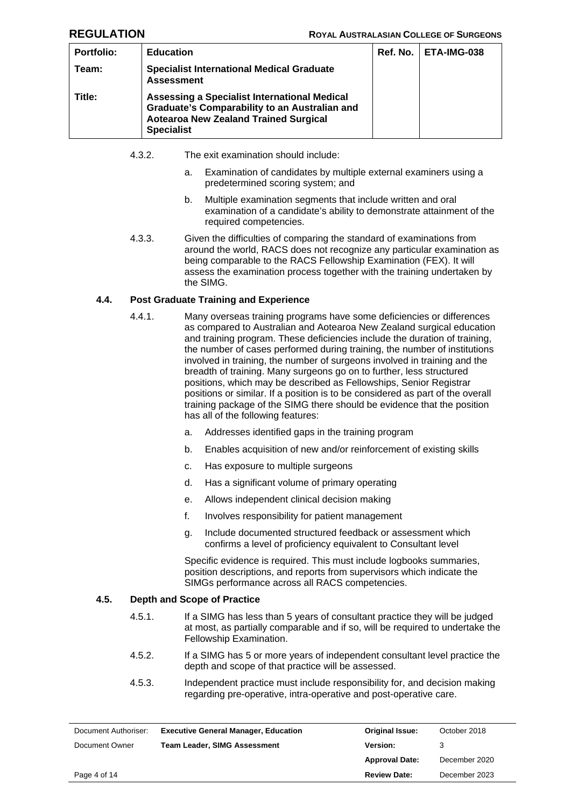| <b>Portfolio:</b> | <b>Education</b>                                                                                                                                                          | Ref. No.   ETA-IMG-038 |
|-------------------|---------------------------------------------------------------------------------------------------------------------------------------------------------------------------|------------------------|
| Team:             | <b>Specialist International Medical Graduate</b><br><b>Assessment</b>                                                                                                     |                        |
| Title:            | Assessing a Specialist International Medical<br><b>Graduate's Comparability to an Australian and</b><br><b>Aotearoa New Zealand Trained Surgical</b><br><b>Specialist</b> |                        |

- 4.3.2. The exit examination should include:
	- a. Examination of candidates by multiple external examiners using a predetermined scoring system; and
	- b. Multiple examination segments that include written and oral examination of a candidate's ability to demonstrate attainment of the required competencies.
- 4.3.3. Given the difficulties of comparing the standard of examinations from around the world, RACS does not recognize any particular examination as being comparable to the RACS Fellowship Examination (FEX). It will assess the examination process together with the training undertaken by the SIMG.

# **4.4. Post Graduate Training and Experience**

- 4.4.1. Many overseas training programs have some deficiencies or differences as compared to Australian and Aotearoa New Zealand surgical education and training program. These deficiencies include the duration of training, the number of cases performed during training, the number of institutions involved in training, the number of surgeons involved in training and the breadth of training. Many surgeons go on to further, less structured positions, which may be described as Fellowships, Senior Registrar positions or similar. If a position is to be considered as part of the overall training package of the SIMG there should be evidence that the position has all of the following features:
	- a. Addresses identified gaps in the training program
	- b. Enables acquisition of new and/or reinforcement of existing skills
	- c. Has exposure to multiple surgeons
	- d. Has a significant volume of primary operating
	- e. Allows independent clinical decision making
	- f. Involves responsibility for patient management
	- g. Include documented structured feedback or assessment which confirms a level of proficiency equivalent to Consultant level

Specific evidence is required. This must include logbooks summaries, position descriptions, and reports from supervisors which indicate the SIMGs performance across all RACS competencies.

### **4.5. Depth and Scope of Practice**

- 4.5.1. If a SIMG has less than 5 years of consultant practice they will be judged at most, as partially comparable and if so, will be required to undertake the Fellowship Examination.
- 4.5.2. If a SIMG has 5 or more years of independent consultant level practice the depth and scope of that practice will be assessed.
- 4.5.3. Independent practice must include responsibility for, and decision making regarding pre-operative, intra-operative and post-operative care.

| Document Authoriser: | <b>Executive General Manager, Education</b> | <b>Original Issue:</b> | October 2018  |
|----------------------|---------------------------------------------|------------------------|---------------|
| Document Owner       | <b>Team Leader, SIMG Assessment</b>         | Version:               |               |
|                      |                                             | <b>Approval Date:</b>  | December 2020 |
| Page 4 of 14         |                                             | <b>Review Date:</b>    | December 2023 |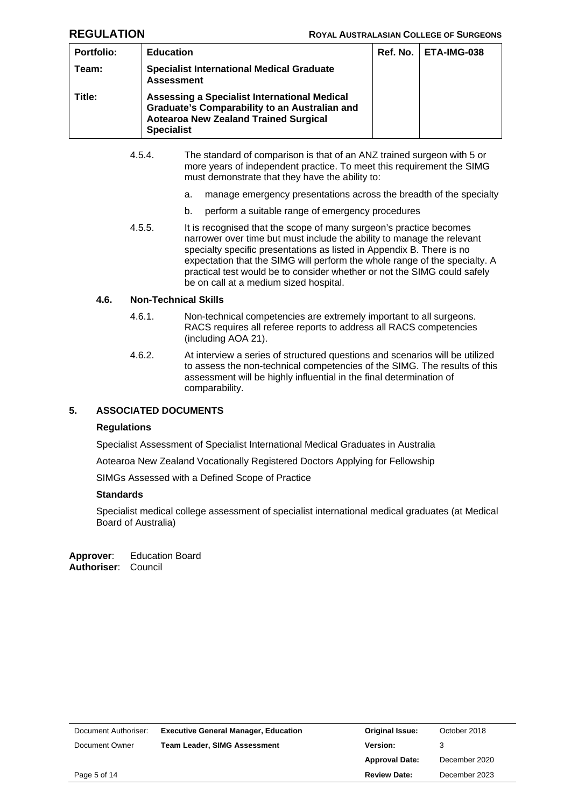| <b>Portfolio:</b> | <b>Education</b>                                                                                                                                                   | Ref. No.   ETA-IMG-038 |
|-------------------|--------------------------------------------------------------------------------------------------------------------------------------------------------------------|------------------------|
| Team:             | <b>Specialist International Medical Graduate</b><br><b>Assessment</b>                                                                                              |                        |
| Title:            | Assessing a Specialist International Medical<br>Graduate's Comparability to an Australian and<br><b>Aotearoa New Zealand Trained Surgical</b><br><b>Specialist</b> |                        |

- 4.5.4. The standard of comparison is that of an ANZ trained surgeon with 5 or more years of independent practice. To meet this requirement the SIMG must demonstrate that they have the ability to:
	- a. manage emergency presentations across the breadth of the specialty
	- b. perform a suitable range of emergency procedures
- 4.5.5. It is recognised that the scope of many surgeon's practice becomes narrower over time but must include the ability to manage the relevant specialty specific presentations as listed in Appendix B. There is no expectation that the SIMG will perform the whole range of the specialty. A practical test would be to consider whether or not the SIMG could safely be on call at a medium sized hospital.

### **4.6. Non-Technical Skills**

- 4.6.1. Non-technical competencies are extremely important to all surgeons. RACS requires all referee reports to address all RACS competencies (including AOA 21).
- 4.6.2. At interview a series of structured questions and scenarios will be utilized to assess the non-technical competencies of the SIMG. The results of this assessment will be highly influential in the final determination of comparability.

### **5. ASSOCIATED DOCUMENTS**

### **Regulations**

Specialist Assessment of Specialist International Medical Graduates in Australia

Aotearoa New Zealand Vocationally Registered Doctors Applying for Fellowship

SIMGs Assessed with a Defined Scope of Practice

#### **Standards**

Specialist medical college assessment of specialist international medical graduates (at Medical Board of Australia)

**Approver**: Education Board **Authoriser**: Council

| Document Authoriser: | <b>Executive General Manager, Education</b> | <b>Original Issue:</b> | October 2018  |
|----------------------|---------------------------------------------|------------------------|---------------|
| Document Owner       | <b>Team Leader, SIMG Assessment</b>         | <b>Version:</b>        |               |
|                      |                                             | <b>Approval Date:</b>  | December 2020 |
| Page 5 of 14         |                                             | <b>Review Date:</b>    | December 2023 |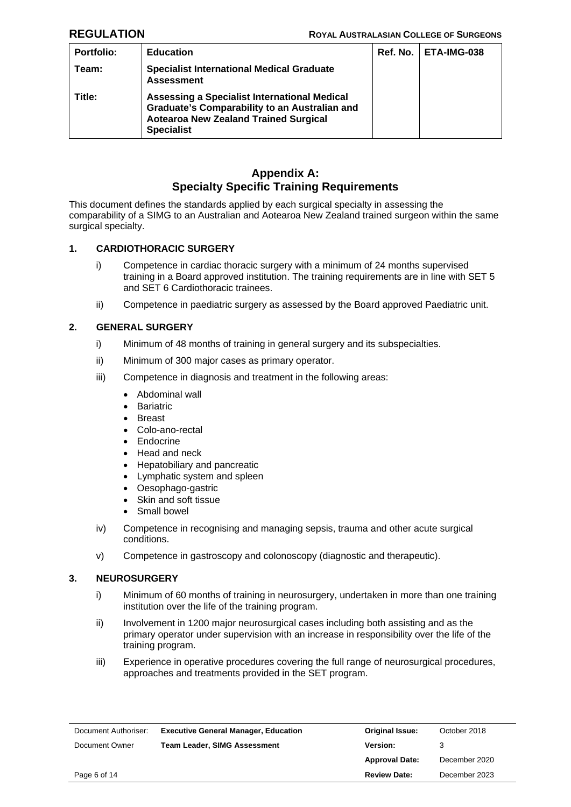| <b>Portfolio:</b> | <b>Education</b>                                                                                                                                                          | <b>Ref. No.   ETA-IMG-038</b> |
|-------------------|---------------------------------------------------------------------------------------------------------------------------------------------------------------------------|-------------------------------|
| Team:             | <b>Specialist International Medical Graduate</b><br><b>Assessment</b>                                                                                                     |                               |
| Title:            | Assessing a Specialist International Medical<br><b>Graduate's Comparability to an Australian and</b><br><b>Aotearoa New Zealand Trained Surgical</b><br><b>Specialist</b> |                               |

# **Appendix A: Specialty Specific Training Requirements**

This document defines the standards applied by each surgical specialty in assessing the comparability of a SIMG to an Australian and Aotearoa New Zealand trained surgeon within the same surgical specialty.

# **1. CARDIOTHORACIC SURGERY**

- i) Competence in cardiac thoracic surgery with a minimum of 24 months supervised training in a Board approved institution. The training requirements are in line with SET 5 and SET 6 Cardiothoracic trainees.
- ii) Competence in paediatric surgery as assessed by the Board approved Paediatric unit.

# **2. GENERAL SURGERY**

- i) Minimum of 48 months of training in general surgery and its subspecialties.
- ii) Minimum of 300 major cases as primary operator.
- iii) Competence in diagnosis and treatment in the following areas:
	- Abdominal wall
	- Bariatric
	- Breast
	- Colo-ano-rectal
	- Endocrine
	- Head and neck
	- Hepatobiliary and pancreatic
	- Lymphatic system and spleen
	- Oesophago-gastric
	- Skin and soft tissue
	- Small bowel
- iv) Competence in recognising and managing sepsis, trauma and other acute surgical conditions.
- v) Competence in gastroscopy and colonoscopy (diagnostic and therapeutic).

### **3. NEUROSURGERY**

- i) Minimum of 60 months of training in neurosurgery, undertaken in more than one training institution over the life of the training program.
- ii) Involvement in 1200 major neurosurgical cases including both assisting and as the primary operator under supervision with an increase in responsibility over the life of the training program.
- iii) Experience in operative procedures covering the full range of neurosurgical procedures, approaches and treatments provided in the SET program.

| Document Authoriser: | <b>Executive General Manager, Education</b> | <b>Original Issue:</b> | October 2018  |
|----------------------|---------------------------------------------|------------------------|---------------|
| Document Owner       | <b>Team Leader, SIMG Assessment</b>         | Version:               |               |
|                      |                                             | <b>Approval Date:</b>  | December 2020 |
| Page 6 of 14         |                                             | <b>Review Date:</b>    | December 2023 |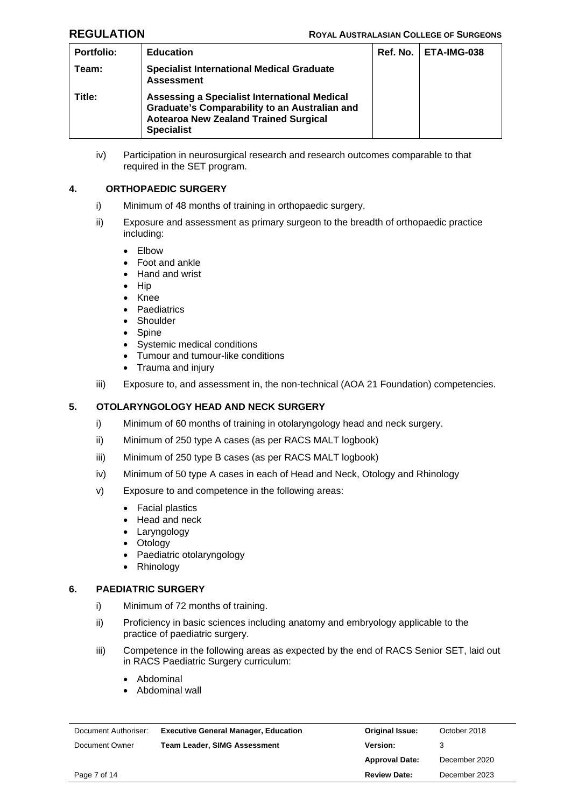| <b>Portfolio:</b> | <b>Education</b>                                                                                                                                                          | Ref. No.   ETA-IMG-038 |
|-------------------|---------------------------------------------------------------------------------------------------------------------------------------------------------------------------|------------------------|
| Team:             | <b>Specialist International Medical Graduate</b><br><b>Assessment</b>                                                                                                     |                        |
| Title:            | Assessing a Specialist International Medical<br><b>Graduate's Comparability to an Australian and</b><br><b>Aotearoa New Zealand Trained Surgical</b><br><b>Specialist</b> |                        |

iv) Participation in neurosurgical research and research outcomes comparable to that required in the SET program.

### **4. ORTHOPAEDIC SURGERY**

- i) Minimum of 48 months of training in orthopaedic surgery.
- ii) Exposure and assessment as primary surgeon to the breadth of orthopaedic practice including:
	- Elbow
	- Foot and ankle
	- Hand and wrist
	- Hip
	- Knee
	- Paediatrics
	- Shoulder
	- Spine
	- Systemic medical conditions
	- Tumour and tumour-like conditions
	- Trauma and injury
- iii) Exposure to, and assessment in, the non-technical (AOA 21 Foundation) competencies.

# **5. OTOLARYNGOLOGY HEAD AND NECK SURGERY**

- i) Minimum of 60 months of training in otolaryngology head and neck surgery.
- ii) Minimum of 250 type A cases (as per RACS MALT logbook)
- iii) Minimum of 250 type B cases (as per RACS MALT logbook)
- iv) Minimum of 50 type A cases in each of Head and Neck, Otology and Rhinology
- v) Exposure to and competence in the following areas:
	- Facial plastics
	- Head and neck
	- Laryngology
	- Otology
	- Paediatric otolaryngology
	- Rhinology

### **6. PAEDIATRIC SURGERY**

- i) Minimum of 72 months of training.
- ii) Proficiency in basic sciences including anatomy and embryology applicable to the practice of paediatric surgery.
- iii) Competence in the following areas as expected by the end of RACS Senior SET, laid out in RACS Paediatric Surgery curriculum:
	- Abdominal
	- Abdominal wall

| Document Authoriser: | <b>Executive General Manager, Education</b> | <b>Original Issue:</b> | October 2018  |
|----------------------|---------------------------------------------|------------------------|---------------|
| Document Owner       | <b>Team Leader, SIMG Assessment</b>         | Version:               |               |
|                      |                                             | <b>Approval Date:</b>  | December 2020 |
| Page 7 of 14         |                                             | <b>Review Date:</b>    | December 2023 |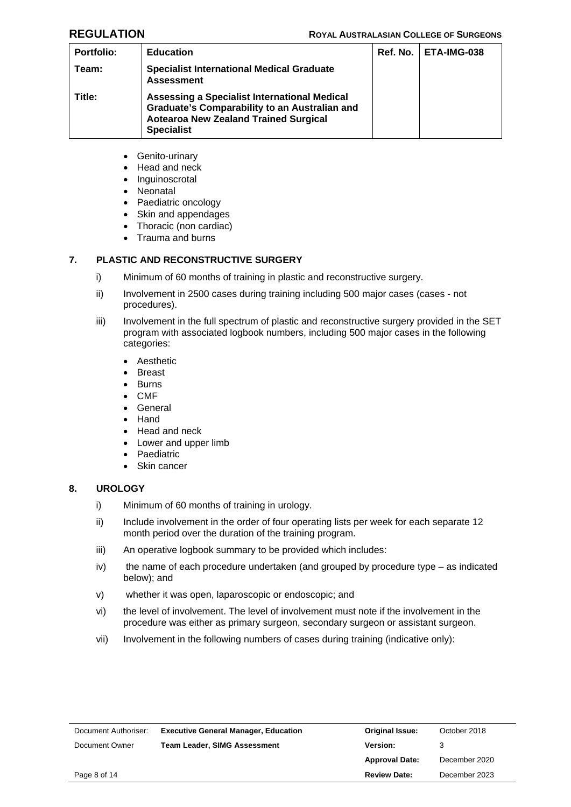| <b>Portfolio:</b> | <b>Education</b>                                                                                                                                                          | <b>Ref. No.   ETA-IMG-038</b> |
|-------------------|---------------------------------------------------------------------------------------------------------------------------------------------------------------------------|-------------------------------|
| Team:             | <b>Specialist International Medical Graduate</b><br><b>Assessment</b>                                                                                                     |                               |
| Title:            | Assessing a Specialist International Medical<br><b>Graduate's Comparability to an Australian and</b><br><b>Aotearoa New Zealand Trained Surgical</b><br><b>Specialist</b> |                               |

- Genito-urinary
- Head and neck
- Inguinoscrotal
- Neonatal
- Paediatric oncology
- Skin and appendages
- Thoracic (non cardiac)
- Trauma and burns

# **7. PLASTIC AND RECONSTRUCTIVE SURGERY**

- i) Minimum of 60 months of training in plastic and reconstructive surgery.
- ii) Involvement in 2500 cases during training including 500 major cases (cases not procedures).
- iii) Involvement in the full spectrum of plastic and reconstructive surgery provided in the SET program with associated logbook numbers, including 500 major cases in the following categories:
	- Aesthetic
	- Breast
	- Burns
	- CMF
	- General
	- Hand
	- Head and neck
	- Lower and upper limb
	- Paediatric
	- Skin cancer

### **8. UROLOGY**

- i) Minimum of 60 months of training in urology.
- ii) Include involvement in the order of four operating lists per week for each separate 12 month period over the duration of the training program.
- iii) An operative logbook summary to be provided which includes:
- iv) the name of each procedure undertaken (and grouped by procedure type as indicated below); and
- v) whether it was open, laparoscopic or endoscopic; and
- vi) the level of involvement. The level of involvement must note if the involvement in the procedure was either as primary surgeon, secondary surgeon or assistant surgeon.
- vii) Involvement in the following numbers of cases during training (indicative only):

| Document Authoriser: | <b>Executive General Manager, Education</b> | <b>Original Issue:</b> | October 2018  |
|----------------------|---------------------------------------------|------------------------|---------------|
| Document Owner       | <b>Team Leader, SIMG Assessment</b>         | <b>Version:</b>        |               |
|                      |                                             | <b>Approval Date:</b>  | December 2020 |
| Page 8 of 14         |                                             | <b>Review Date:</b>    | December 2023 |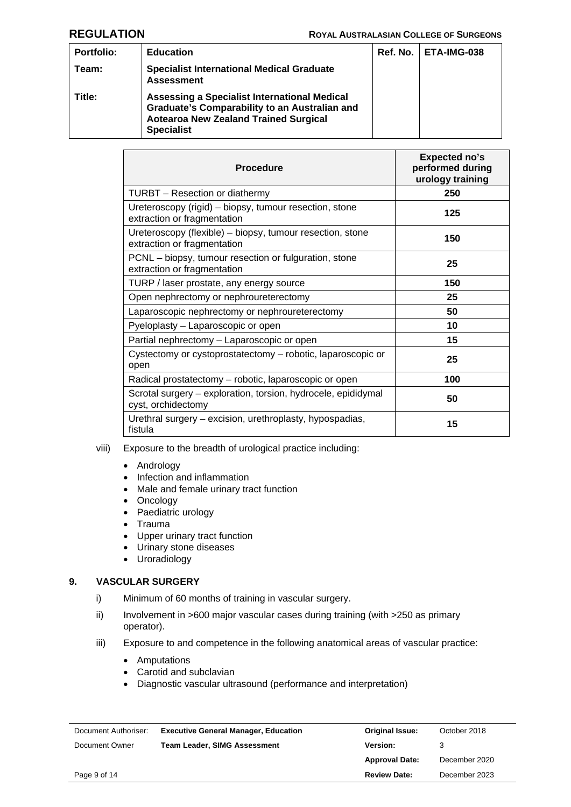| <b>Portfolio:</b> | <b>Education</b>                                                                                                                                                   | <b>Ref. No.   ETA-IMG-038</b> |
|-------------------|--------------------------------------------------------------------------------------------------------------------------------------------------------------------|-------------------------------|
| Team:             | <b>Specialist International Medical Graduate</b><br><b>Assessment</b>                                                                                              |                               |
| Title:            | Assessing a Specialist International Medical<br>Graduate's Comparability to an Australian and<br><b>Aotearoa New Zealand Trained Surgical</b><br><b>Specialist</b> |                               |

| <b>Procedure</b>                                                                         | <b>Expected no's</b><br>performed during<br>urology training |
|------------------------------------------------------------------------------------------|--------------------------------------------------------------|
| <b>TURBT</b> – Resection or diathermy                                                    | 250                                                          |
| Ureteroscopy (rigid) – biopsy, tumour resection, stone<br>extraction or fragmentation    | 125                                                          |
| Ureteroscopy (flexible) – biopsy, tumour resection, stone<br>extraction or fragmentation | 150                                                          |
| PCNL – biopsy, tumour resection or fulguration, stone<br>extraction or fragmentation     | 25                                                           |
| TURP / laser prostate, any energy source                                                 | 150                                                          |
| Open nephrectomy or nephroureterectomy                                                   | 25                                                           |
| Laparoscopic nephrectomy or nephroureterectomy                                           | 50                                                           |
| Pyeloplasty – Laparoscopic or open                                                       | 10                                                           |
| Partial nephrectomy - Laparoscopic or open                                               | 15                                                           |
| Cystectomy or cystoprostatectomy – robotic, laparoscopic or<br>open                      | 25                                                           |
| Radical prostatectomy – robotic, laparoscopic or open                                    | 100                                                          |
| Scrotal surgery – exploration, torsion, hydrocele, epididymal<br>cyst, orchidectomy      | 50                                                           |
| Urethral surgery – excision, urethroplasty, hypospadias,<br>fistula                      | 15                                                           |

### viii) Exposure to the breadth of urological practice including:

- Andrology
- Infection and inflammation
- Male and female urinary tract function
- Oncology
- Paediatric urology
- Trauma
- Upper urinary tract function
- Urinary stone diseases
- Uroradiology

# **9. VASCULAR SURGERY**

- i) Minimum of 60 months of training in vascular surgery.
- ii) Involvement in >600 major vascular cases during training (with >250 as primary operator).
- iii) Exposure to and competence in the following anatomical areas of vascular practice:
	- Amputations
	- Carotid and subclavian
	- Diagnostic vascular ultrasound (performance and interpretation)

| Document Authoriser: | <b>Executive General Manager, Education</b> | <b>Original Issue:</b> | October 2018  |
|----------------------|---------------------------------------------|------------------------|---------------|
| Document Owner       | <b>Team Leader, SIMG Assessment</b>         | Version:               |               |
|                      |                                             | <b>Approval Date:</b>  | December 2020 |
| Page 9 of 14         |                                             | <b>Review Date:</b>    | December 2023 |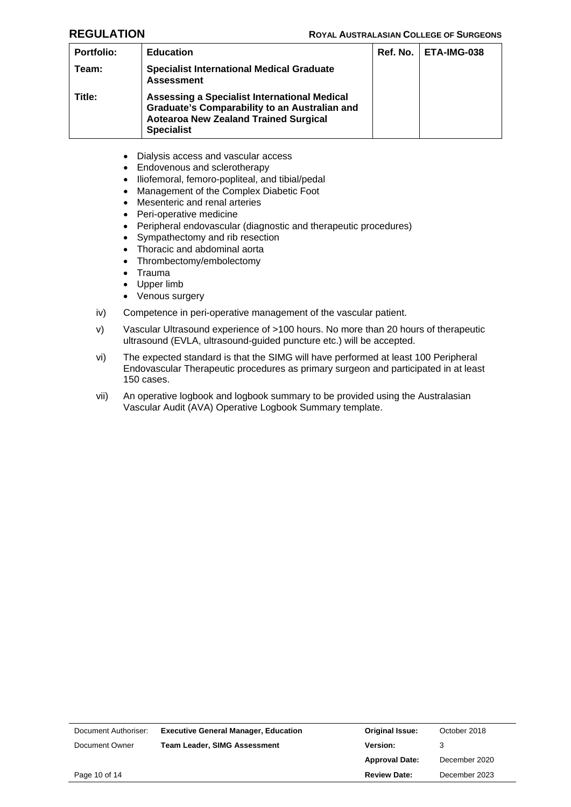**REGULATION ROYAL AUSTRALASIAN COLLEGE OF SURGEONS**

| <b>Portfolio:</b> | <b>Education</b>                                                                                                                                                   | Ref. No.   ETA-IMG-038 |
|-------------------|--------------------------------------------------------------------------------------------------------------------------------------------------------------------|------------------------|
| Team:             | <b>Specialist International Medical Graduate</b><br><b>Assessment</b>                                                                                              |                        |
| Title:            | Assessing a Specialist International Medical<br>Graduate's Comparability to an Australian and<br><b>Aotearoa New Zealand Trained Surgical</b><br><b>Specialist</b> |                        |

- Dialysis access and vascular access
- Endovenous and sclerotherapy
- Iliofemoral, femoro-popliteal, and tibial/pedal
- Management of the Complex Diabetic Foot
- Mesenteric and renal arteries
- Peri-operative medicine
- Peripheral endovascular (diagnostic and therapeutic procedures)
- Sympathectomy and rib resection
- Thoracic and abdominal aorta
- Thrombectomy/embolectomy
- Trauma
- Upper limb
- Venous surgery
- iv) Competence in peri-operative management of the vascular patient.
- v) Vascular Ultrasound experience of >100 hours. No more than 20 hours of therapeutic ultrasound (EVLA, ultrasound-guided puncture etc.) will be accepted.
- vi) The expected standard is that the SIMG will have performed at least 100 Peripheral Endovascular Therapeutic procedures as primary surgeon and participated in at least 150 cases.
- vii) An operative logbook and logbook summary to be provided using the Australasian Vascular Audit (AVA) Operative Logbook Summary template.

| Document Authoriser: | <b>Executive General Manager, Education</b> | <b>Original Issue:</b> | October 2018  |
|----------------------|---------------------------------------------|------------------------|---------------|
| Document Owner       | <b>Team Leader, SIMG Assessment</b>         | <b>Version:</b>        |               |
|                      |                                             | <b>Approval Date:</b>  | December 2020 |
| Page 10 of 14        |                                             | <b>Review Date:</b>    | December 2023 |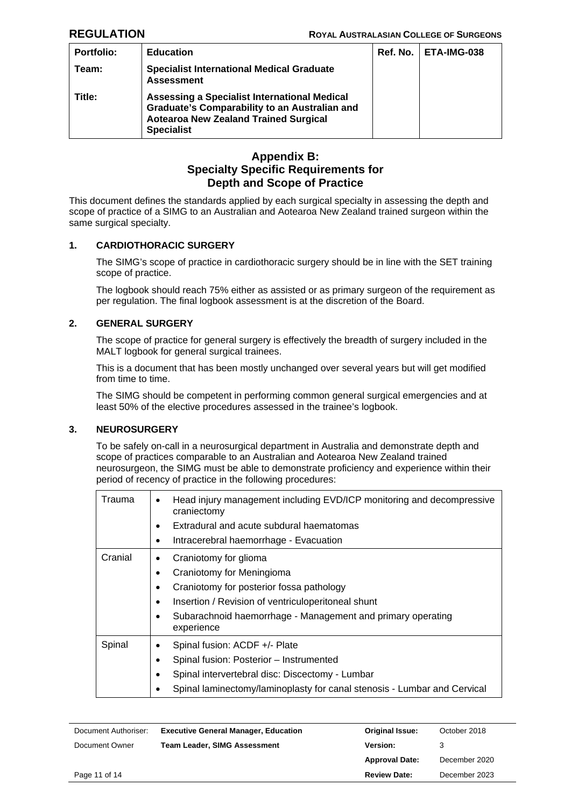| <b>Portfolio:</b> | <b>Education</b>                                                                                                                                                          | Ref. No.   ETA-IMG-038 |
|-------------------|---------------------------------------------------------------------------------------------------------------------------------------------------------------------------|------------------------|
| Team:             | <b>Specialist International Medical Graduate</b><br><b>Assessment</b>                                                                                                     |                        |
| Title:            | Assessing a Specialist International Medical<br><b>Graduate's Comparability to an Australian and</b><br><b>Aotearoa New Zealand Trained Surgical</b><br><b>Specialist</b> |                        |

# **Appendix B: Specialty Specific Requirements for Depth and Scope of Practice**

This document defines the standards applied by each surgical specialty in assessing the depth and scope of practice of a SIMG to an Australian and Aotearoa New Zealand trained surgeon within the same surgical specialty.

# **1. CARDIOTHORACIC SURGERY**

The SIMG's scope of practice in cardiothoracic surgery should be in line with the SET training scope of practice.

The logbook should reach 75% either as assisted or as primary surgeon of the requirement as per regulation. The final logbook assessment is at the discretion of the Board.

# **2. GENERAL SURGERY**

The scope of practice for general surgery is effectively the breadth of surgery included in the MALT logbook for general surgical trainees.

This is a document that has been mostly unchanged over several years but will get modified from time to time.

The SIMG should be competent in performing common general surgical emergencies and at least 50% of the elective procedures assessed in the trainee's logbook.

### **3. NEUROSURGERY**

To be safely on-call in a neurosurgical department in Australia and demonstrate depth and scope of practices comparable to an Australian and Aotearoa New Zealand trained neurosurgeon, the SIMG must be able to demonstrate proficiency and experience within their period of recency of practice in the following procedures:

| Trauma  | Head injury management including EVD/ICP monitoring and decompressive<br>$\bullet$<br>craniectomy |
|---------|---------------------------------------------------------------------------------------------------|
|         | Extradural and acute subdural haematomas<br>٠                                                     |
|         | Intracerebral haemorrhage - Evacuation<br>٠                                                       |
| Cranial | Craniotomy for glioma<br>٠                                                                        |
|         | Craniotomy for Meningioma<br>٠                                                                    |
|         | Craniotomy for posterior fossa pathology<br>٠                                                     |
|         | Insertion / Revision of ventriculoperitoneal shunt<br>٠                                           |
|         | Subarachnoid haemorrhage - Management and primary operating<br>٠<br>experience                    |
| Spinal  | Spinal fusion: ACDF +/- Plate<br>٠                                                                |
|         | Spinal fusion: Posterior - Instrumented<br>٠                                                      |
|         | Spinal intervertebral disc: Discectomy - Lumbar<br>٠                                              |
|         | Spinal laminectomy/laminoplasty for canal stenosis - Lumbar and Cervical                          |

| Document Authoriser: | <b>Executive General Manager, Education</b> | <b>Original Issue:</b> | October 2018  |
|----------------------|---------------------------------------------|------------------------|---------------|
| Document Owner       | <b>Team Leader, SIMG Assessment</b>         | Version:               |               |
|                      |                                             | <b>Approval Date:</b>  | December 2020 |
| Page 11 of 14        |                                             | <b>Review Date:</b>    | December 2023 |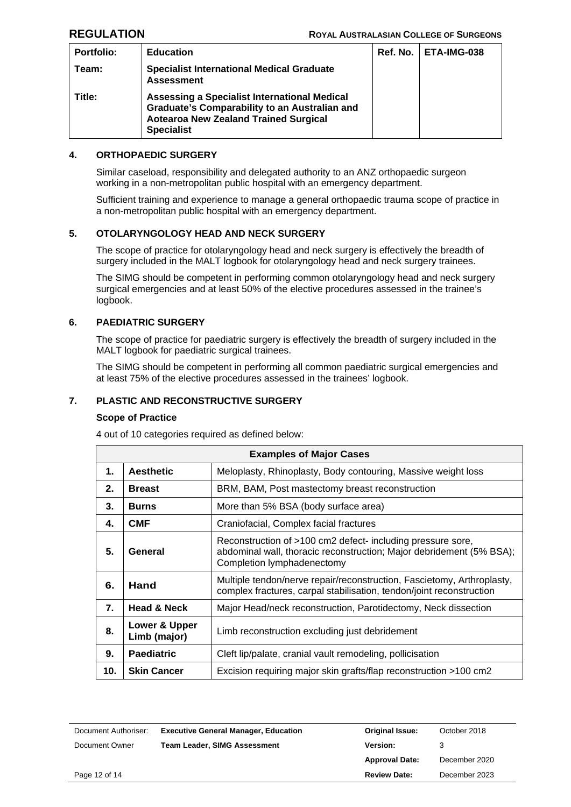| <b>Portfolio:</b> | <b>Education</b>                                                                                                                                                   | Ref. No.   ETA-IMG-038 |
|-------------------|--------------------------------------------------------------------------------------------------------------------------------------------------------------------|------------------------|
| Team:             | <b>Specialist International Medical Graduate</b><br><b>Assessment</b>                                                                                              |                        |
| Title:            | Assessing a Specialist International Medical<br>Graduate's Comparability to an Australian and<br><b>Aotearoa New Zealand Trained Surgical</b><br><b>Specialist</b> |                        |

# **4. ORTHOPAEDIC SURGERY**

Similar caseload, responsibility and delegated authority to an ANZ orthopaedic surgeon working in a non-metropolitan public hospital with an emergency department.

Sufficient training and experience to manage a general orthopaedic trauma scope of practice in a non-metropolitan public hospital with an emergency department.

# **5. OTOLARYNGOLOGY HEAD AND NECK SURGERY**

The scope of practice for otolaryngology head and neck surgery is effectively the breadth of surgery included in the MALT logbook for otolaryngology head and neck surgery trainees.

The SIMG should be competent in performing common otolaryngology head and neck surgery surgical emergencies and at least 50% of the elective procedures assessed in the trainee's logbook.

# **6. PAEDIATRIC SURGERY**

The scope of practice for paediatric surgery is effectively the breadth of surgery included in the MALT logbook for paediatric surgical trainees.

The SIMG should be competent in performing all common paediatric surgical emergencies and at least 75% of the elective procedures assessed in the trainees' logbook.

# **7. PLASTIC AND RECONSTRUCTIVE SURGERY**

### **Scope of Practice**

4 out of 10 categories required as defined below:

| <b>Examples of Major Cases</b> |                               |                                                                                                                                                                   |
|--------------------------------|-------------------------------|-------------------------------------------------------------------------------------------------------------------------------------------------------------------|
| 1.                             | <b>Aesthetic</b>              | Meloplasty, Rhinoplasty, Body contouring, Massive weight loss                                                                                                     |
| 2.                             | <b>Breast</b>                 | BRM, BAM, Post mastectomy breast reconstruction                                                                                                                   |
| 3.                             | <b>Burns</b>                  | More than 5% BSA (body surface area)                                                                                                                              |
| 4.                             | <b>CMF</b>                    | Craniofacial, Complex facial fractures                                                                                                                            |
| 5.                             | General                       | Reconstruction of >100 cm2 defect- including pressure sore,<br>abdominal wall, thoracic reconstruction; Major debridement (5% BSA);<br>Completion lymphadenectomy |
| 6.                             | Hand                          | Multiple tendon/nerve repair/reconstruction, Fascietomy, Arthroplasty,<br>complex fractures, carpal stabilisation, tendon/joint reconstruction                    |
| 7.                             | <b>Head &amp; Neck</b>        | Major Head/neck reconstruction, Parotidectomy, Neck dissection                                                                                                    |
| 8.                             | Lower & Upper<br>Limb (major) | Limb reconstruction excluding just debridement                                                                                                                    |
| 9.                             | <b>Paediatric</b>             | Cleft lip/palate, cranial vault remodeling, pollicisation                                                                                                         |
| 10.                            | <b>Skin Cancer</b>            | Excision requiring major skin grafts/flap reconstruction >100 cm2                                                                                                 |

| Document Authoriser: | <b>Executive General Manager, Education</b> | <b>Original Issue:</b> | October 2018  |
|----------------------|---------------------------------------------|------------------------|---------------|
| Document Owner       | <b>Team Leader, SIMG Assessment</b>         | <b>Version:</b>        |               |
|                      |                                             | <b>Approval Date:</b>  | December 2020 |
| Page 12 of 14        |                                             | <b>Review Date:</b>    | December 2023 |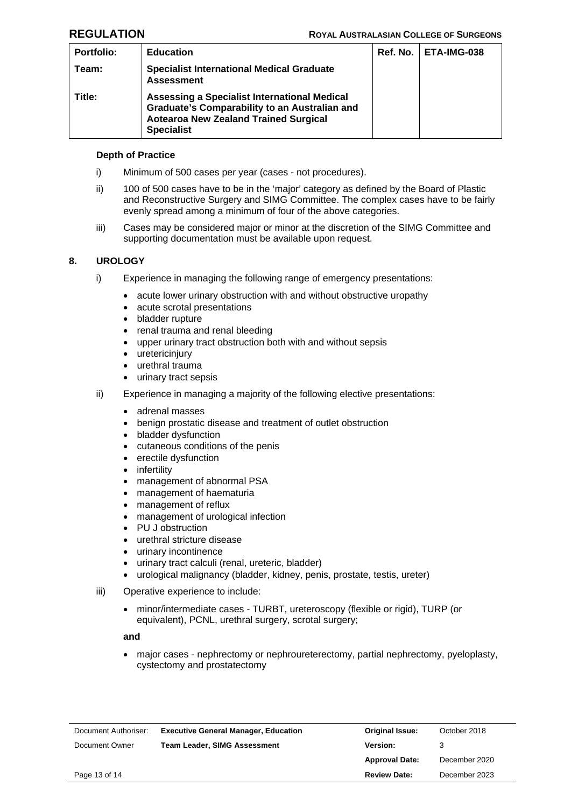| <b>Portfolio:</b> | <b>Education</b>                                                                                                                                                   | <b>Ref. No.   ETA-IMG-038</b> |
|-------------------|--------------------------------------------------------------------------------------------------------------------------------------------------------------------|-------------------------------|
| Team:             | <b>Specialist International Medical Graduate</b><br><b>Assessment</b>                                                                                              |                               |
| Title:            | Assessing a Specialist International Medical<br>Graduate's Comparability to an Australian and<br><b>Aotearoa New Zealand Trained Surgical</b><br><b>Specialist</b> |                               |

### **Depth of Practice**

- i) Minimum of 500 cases per year (cases not procedures).
- ii) 100 of 500 cases have to be in the 'major' category as defined by the Board of Plastic and Reconstructive Surgery and SIMG Committee. The complex cases have to be fairly evenly spread among a minimum of four of the above categories.
- iii) Cases may be considered major or minor at the discretion of the SIMG Committee and supporting documentation must be available upon request.

# **8. UROLOGY**

- i) Experience in managing the following range of emergency presentations:
	- acute lower urinary obstruction with and without obstructive uropathy
	- acute scrotal presentations
	- bladder rupture
	- renal trauma and renal bleeding
	- upper urinary tract obstruction both with and without sepsis
	- uretericinjury
	- urethral trauma
	- urinary tract sepsis
- ii) Experience in managing a majority of the following elective presentations:
	- adrenal masses
	- benign prostatic disease and treatment of outlet obstruction
	- bladder dysfunction
	- cutaneous conditions of the penis
	- erectile dysfunction
	- infertility
	- management of abnormal PSA
	- management of haematuria
	- management of reflux
	- management of urological infection
	- PU J obstruction
	- urethral stricture disease
	- urinary incontinence
	- urinary tract calculi (renal, ureteric, bladder)
	- urological malignancy (bladder, kidney, penis, prostate, testis, ureter)
- iii) Operative experience to include:
	- minor/intermediate cases TURBT, ureteroscopy (flexible or rigid), TURP (or equivalent), PCNL, urethral surgery, scrotal surgery;

### **and**

• major cases - nephrectomy or nephroureterectomy, partial nephrectomy, pyeloplasty, cystectomy and prostatectomy

| Document Authoriser: | <b>Executive General Manager, Education</b> | <b>Original Issue:</b> | October 2018  |
|----------------------|---------------------------------------------|------------------------|---------------|
| Document Owner       | <b>Team Leader, SIMG Assessment</b>         | <b>Version:</b>        | 3             |
|                      |                                             | <b>Approval Date:</b>  | December 2020 |
| Page 13 of 14        |                                             | <b>Review Date:</b>    | December 2023 |